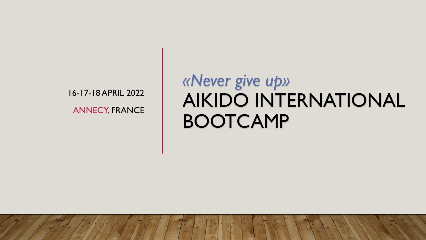16-17-18 APRIL 2022 ANNECY, FRANCE

## *«Never give up»*  AIKIDO INTERNATIONAL BOOTCAMP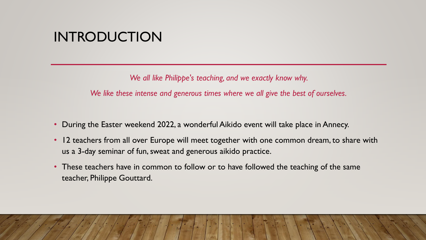#### INTRODUCTION

*We all like Philippe's teaching, and we exactly know why.* 

*We like these intense and generous times where we all give the best of ourselves.*

- During the Easter weekend 2022, a wonderful Aikido event will take place in Annecy.
- 12 teachers from all over Europe will meet together with one common dream, to share with us a 3-day seminar of fun, sweat and generous aikido practice.
- These teachers have in common to follow or to have followed the teaching of the same teacher, Philippe Gouttard.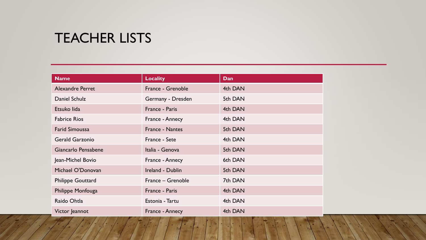#### TEACHER LISTS

| <b>Name</b>              | <b>Locality</b>   | Dan     |
|--------------------------|-------------------|---------|
| <b>Alexandre Perret</b>  | France - Grenoble | 4th DAN |
| Daniel Schulz            | Germany - Dresden | 5th DAN |
| Etsuko lida              | France - Paris    | 4th DAN |
| <b>Fabrice Rios</b>      | France - Annecy   | 4th DAN |
| <b>Farid Simoussa</b>    | France - Nantes   | 5th DAN |
| <b>Gerald Garzonio</b>   | France - Sete     | 4th DAN |
| Giancarlo Pensabene      | Italia - Genova   | 5th DAN |
| Jean-Michel Bovio        | France - Annecy   | 6th DAN |
| Michael O'Donovan        | Ireland - Dublin  | 5th DAN |
| <b>Philippe Gouttard</b> | France - Grenoble | 7th DAN |
| Philippe Monfouga        | France - Paris    | 4th DAN |
| Raido Ohtla              | Estonia - Tartu   | 4th DAN |
| Victor Jeannot           | France - Annecy   | 4th DAN |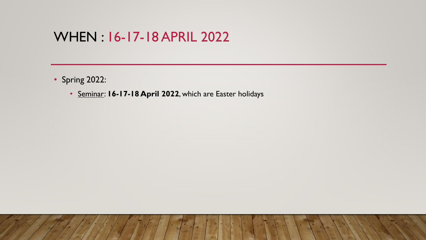#### WHEN : 16-17-18 APRIL 2022

- Spring 2022:
	- Seminar: **16-17-18 April 2022**, which are Easter holidays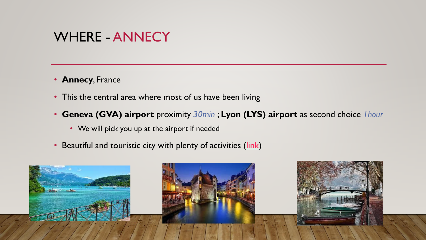#### WHERE - ANNECY

- **Annecy**, France
- This the central area where most of us have been living
- **Geneva (GVA) airport** proximity *30min* ; **Lyon (LYS) airport** as second choice *1hour*
	- We will pick you up at the airport if needed
- Beautiful and touristic city with plenty of activities (*link*)

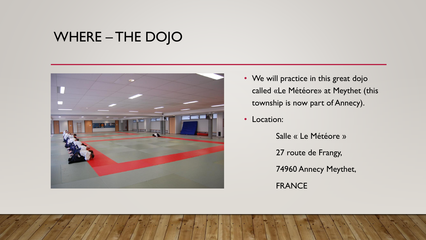### WHERE – THE DOJO



- We will practice in this great dojo called «Le Météore» at Meythet (this township is now part of Annecy).
- Location:

Salle « Le Météore » 27 route de Frangy, 74960 Annecy Meythet, FRANCE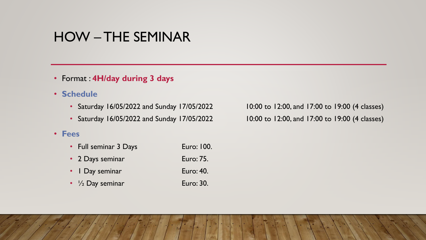#### HOW – THE SEMINAR

- Format : **4H/day during 3 days**
- **Schedule**
	- Saturday 16/05/2022 and Sunday 17/05/2022 10:00 to 12:00, and 17:00 to 19:00 (4 classes)
	- Saturday 16/05/2022 and Sunday 17/05/2022 10:00 to 12:00, and 17:00 to 19:00 (4 classes)

#### • **Fees**

- Full seminar 3 Days Euro: 100.
- 2 Days seminar Euro: 75.
- 1 Day seminar Euro: 40.
- $\frac{1}{2}$  Day seminar Euro: 30.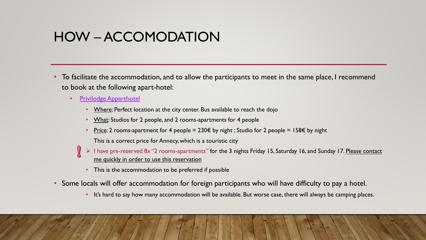#### HOW – ACCOMODATION

- To facilitate the accommodation, and to allow the participants to meet in the same place, I recommend to book at the following apart-hotel:
	- Privilodge [Apparthotel](https://www.apparthotel-annecy.com/en/)
		- Where: Perfect location at the city center. Bus available to reach the dojo
		- What: Studios for 2 people, and 2 rooms-apartments for 4 people
		- <u>Price</u>: 2 rooms-apartment for 4 people = 230€ by night ; Studio for 2 people = 158€ by night This is a correct price for Annecy, which is a touristic city
		- ➢ I have pre-reserved 8x "2 rooms-apartments" for the 3 nights Friday 15, Saturday 16, and Sunday 17. Please contact me quickly in order to use this reservation
			- This is the accommodation to be preferred if possible
- Some locals will offer accommodation for foreign participants who will have difficulty to pay a hotel.
	- It's hard to say how many accommodation will be available. But worse case, there will always be camping places.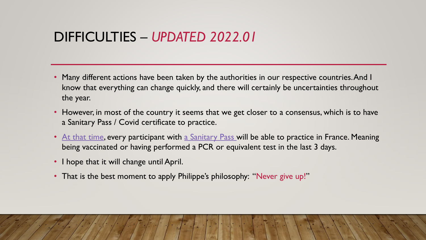#### DIFFICULTIES – *UPDATED 2022.01*

- Many different actions have been taken by the authorities in our respective countries. And I know that everything can change quickly, and there will certainly be uncertainties throughout the year.
- However, in most of the country it seems that we get closer to a consensus, which is to have a Sanitary Pass / Covid certificate to practice.
- At that time, every participant with a Sanitary Pass will be able to practice in France. Meaning being vaccinated or having performed a PCR or equivalent test in the last 3 days.
- I hope that it will change until April.
- That is the best moment to apply Philippe's philosophy: "Never give up!"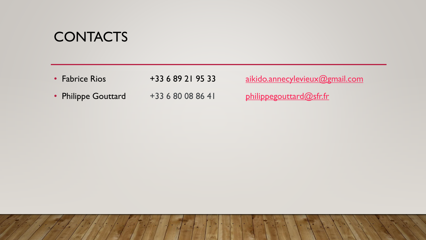#### **CONTACTS**

• Fabrice Rios +33 6 89 21 95 33 [aikido.annecylevieux@gmail.com](mailto:aikido.annecylevieux@gmail.com) • Philippe Gouttard +33 6 80 08 86 41 [philippegouttard@sfr.fr](mailto:philippegouttard@sfr.fr)